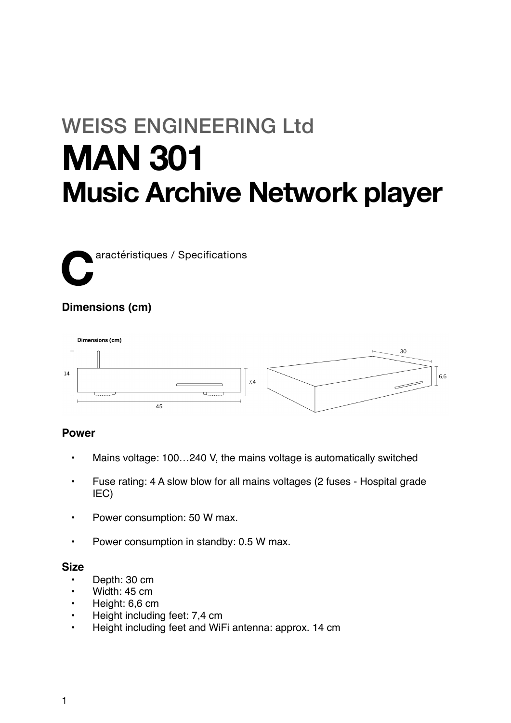# WEISS ENGINEERING Ltd **MAN 301 Music Archive Network player**

**C**aractéristiques / Specifications

# **Dimensions (cm)**



## **Power**

- Mains voltage: 100…240 V, the mains voltage is automatically switched
- Fuse rating: 4 A slow blow for all mains voltages (2 fuses Hospital grade IEC)
- Power consumption: 50 W max.
- Power consumption in standby: 0.5 W max.

## **Size**

- Depth: 30 cm
- Width: 45 cm
- Height: 6,6 cm
- Height including feet: 7,4 cm
- Height including feet and WiFi antenna: approx. 14 cm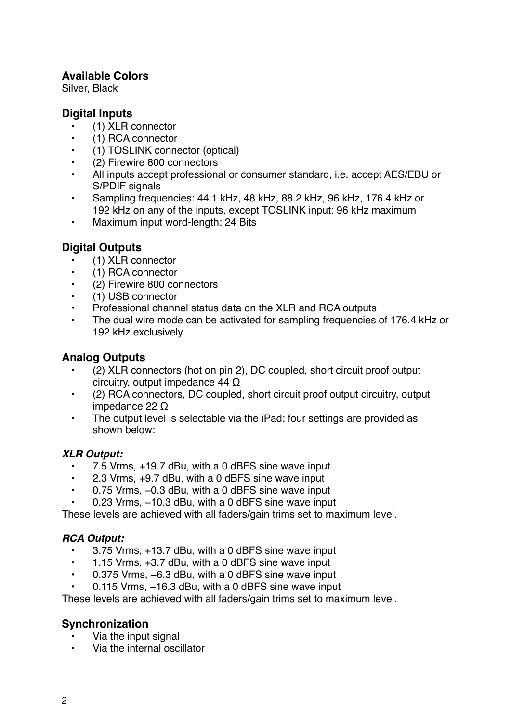## **Available Colors**

Silver, Black

## **Digital Inputs**

- (1) XLR connector
- (1) RCA connector
- (1) TOSLINK connector (optical)
- (2) Firewire 800 connectors
- All inputs accept professional or consumer standard, i.e. accept AES/EBU or S/PDIF signals
- Sampling frequencies: 44.1 kHz, 48 kHz, 88.2 kHz, 96 kHz, 176.4 kHz or 192 kHz on any of the inputs, except TOSLINK input: 96 kHz maximum
- Maximum input word-length: 24 Bits

## **Digital Outputs**

- (1) XLR connector
- (1) RCA connector
- (2) Firewire 800 connectors
- (1) USB connector
- Professional channel status data on the XLR and RCA outputs
- The dual wire mode can be activated for sampling frequencies of 176.4 kHz or 192 kHz exclusively

## **Analog Outputs**

- (2) XLR connectors (hot on pin 2), DC coupled, short circuit proof output circuitry, output impedance 44 Ω
- (2) RCA connectors, DC coupled, short circuit proof output circuitry, output impedance 22 Ω
- The output level is selectable via the iPad; four settings are provided as shown below:

## *XLR Output:*

- 7.5 Vrms, +19.7 dBu, with a 0 dBFS sine wave input
- 2.3 Vrms, +9.7 dBu, with a 0 dBFS sine wave input
- 0.75 Vrms, −0.3 dBu, with a 0 dBFS sine wave input
- 0.23 Vrms, −10.3 dBu, with a 0 dBFS sine wave input

These levels are achieved with all faders/gain trims set to maximum level.

## *RCA Output:*

- 3.75 Vrms, +13.7 dBu, with a 0 dBFS sine wave input
- 1.15 Vrms, +3.7 dBu, with a 0 dBFS sine wave input
- 0.375 Vrms, −6.3 dBu, with a 0 dBFS sine wave input
- 0.115 Vrms, −16.3 dBu, with a 0 dBFS sine wave input

These levels are achieved with all faders/gain trims set to maximum level.

## **Synchronization**

- Via the input signal
- Via the internal oscillator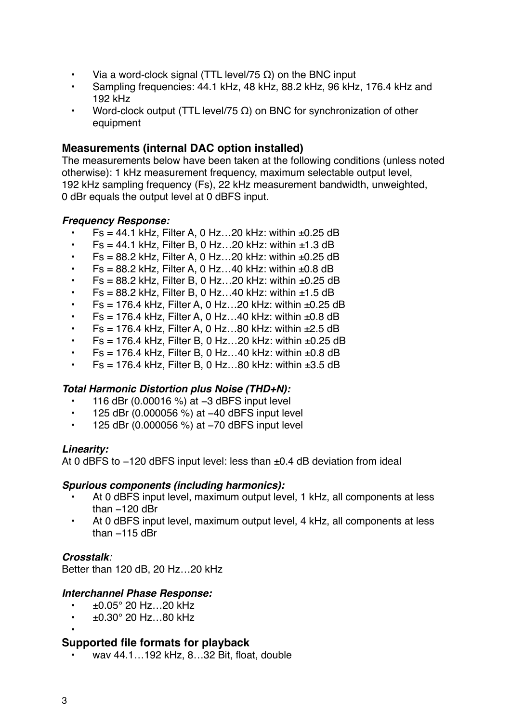- Via a word-clock signal (TTL level/75  $\Omega$ ) on the BNC input
- Sampling frequencies: 44.1 kHz, 48 kHz, 88.2 kHz, 96 kHz, 176.4 kHz and 192 kHz
- Word-clock output (TTL level/75 Ω) on BNC for synchronization of other equipment

## **Measurements (internal DAC option installed)**

The measurements below have been taken at the following conditions (unless noted otherwise): 1 kHz measurement frequency, maximum selectable output level, 192 kHz sampling frequency (Fs), 22 kHz measurement bandwidth, unweighted, 0 dBr equals the output level at 0 dBFS input.

## *Frequency Response:*

- $Fs = 44.1$  kHz, Filter A, 0 Hz...20 kHz: within  $±0.25$  dB
- $Fs = 44.1$  kHz, Filter B, 0 Hz...20 kHz: within  $±1.3$  dB
- $Fs = 88.2$  kHz, Filter A, 0 Hz...20 kHz: within  $±0.25$  dB
- $Fs = 88.2$  kHz, Filter A, 0 Hz...40 kHz: within  $±0.8$  dB
- $Fs = 88.2$  kHz, Filter B, 0 Hz...20 kHz: within  $±0.25$  dB
- $Fs = 88.2$  kHz, Filter B, 0 Hz...40 kHz: within  $±1.5$  dB
- $Fs = 176.4$  kHz, Filter A, 0 Hz...20 kHz: within  $±0.25$  dB
- $Fs = 176.4$  kHz, Filter A, 0 Hz...40 kHz: within  $±0.8$  dB
- $Fs = 176.4$  kHz, Filter A, 0 Hz...80 kHz: within  $±2.5$  dB
- $Fs = 176.4$  kHz, Filter B, 0 Hz...20 kHz: within  $±0.25$  dB
- $Fs = 176.4$  kHz, Filter B, 0 Hz...40 kHz; within  $±0.8$  dB
- $Fs = 176.4$  kHz, Filter B, 0 Hz...80 kHz: within  $\pm 3.5$  dB

## *Total Harmonic Distortion plus Noise (THD+N):*

- 116 dBr (0.00016 %) at −3 dBFS input level
- 125 dBr (0.000056 %) at −40 dBFS input level
- 125 dBr (0.000056 %) at −70 dBFS input level

## *Linearity:*

At 0 dBFS to −120 dBFS input level: less than ±0.4 dB deviation from ideal

#### *Spurious components (including harmonics):*

- At 0 dBFS input level, maximum output level, 1 kHz, all components at less than −120 dBr
- At 0 dBFS input level, maximum output level, 4 kHz, all components at less than −115 dBr

## *Crosstalk:*

Better than 120 dB, 20 Hz…20 kHz

## *Interchannel Phase Response:*

- $±0.05°$  20 Hz...20 kHz
- $\cdot$   $\pm$ 0.30 $^{\circ}$  20 Hz...80 kHz
- •

## **Supported file formats for playback**

• wav 44.1…192 kHz, 8…32 Bit, float, double